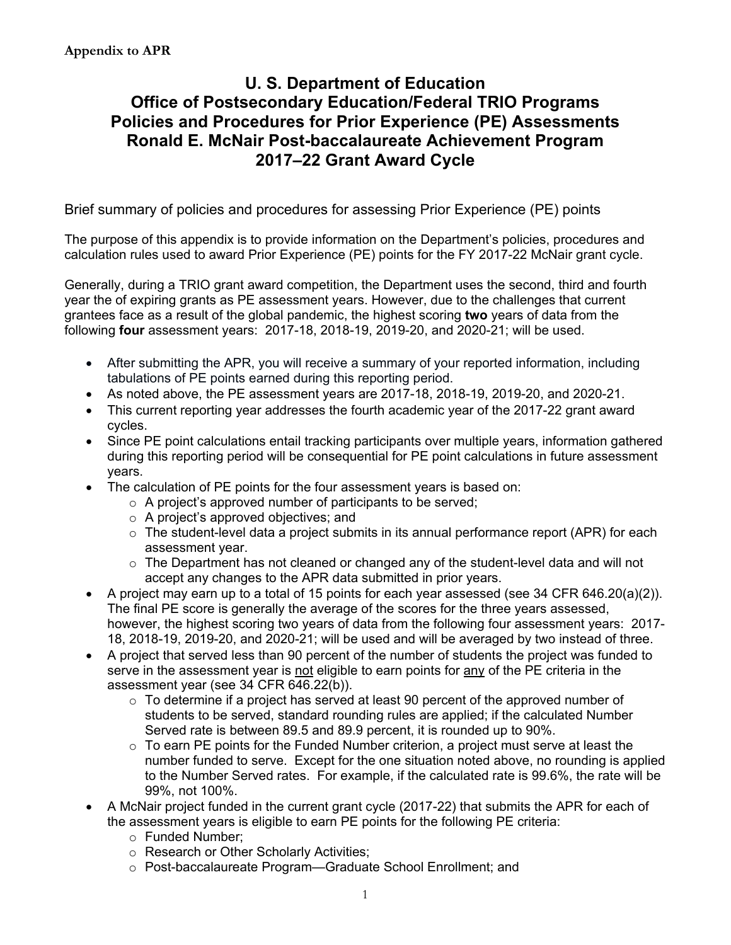# **U. S. Department of Education Office of Postsecondary Education/Federal TRIO Programs Policies and Procedures for Prior Experience (PE) Assessments Ronald E. McNair Post-baccalaureate Achievement Program 2017–22 Grant Award Cycle**

Brief summary of policies and procedures for assessing Prior Experience (PE) points

 The purpose of this appendix is to provide information on the Department's policies, procedures and calculation rules used to award Prior Experience (PE) points for the FY 2017-22 McNair grant cycle.

Generally, during a TRIO grant award competition, the Department uses the second, third and fourth year the of expiring grants as PE assessment years. However, due to the challenges that current grantees face as a result of the global pandemic, the highest scoring **two** years of data from the following **four** assessment years: 2017-18, 2018-19, 2019-20, and 2020-21; will be used.

- After submitting the APR, you will receive a summary of your reported information, including tabulations of PE points earned during this reporting period.
- As noted above, the PE assessment years are 2017-18, 2018-19, 2019-20, and 2020-21.
- This current reporting year addresses the fourth academic year of the 2017-22 grant award cycles.
- Since PE point calculations entail tracking participants over multiple years, information gathered during this reporting period will be consequential for PE point calculations in future assessment years.
- The calculation of PE points for the four assessment years is based on:
	- $\circ$  A project's approved number of participants to be served;
	- o A project's approved objectives; and
	- $\circ$  The student-level data a project submits in its annual performance report (APR) for each assessment year.
	- $\circ$  The Department has not cleaned or changed any of the student-level data and will not accept any changes to the APR data submitted in prior years.
- • A project may earn up to a total of 15 points for each year assessed (see 34 CFR 646.20(a)(2)). The final PE score is generally the average of the scores for the three years assessed, however, the highest scoring two years of data from the following four assessment years: 2017- 18, 2018-19, 2019-20, and 2020-21; will be used and will be averaged by two instead of three.
- A project that served less than 90 percent of the number of students the project was funded to serve in the assessment year is not eligible to earn points for any of the PE criteria in the assessment year (see 34 CFR 646.22(b)).
	- $\circ$  To determine if a project has served at least 90 percent of the approved number of students to be served, standard rounding rules are applied; if the calculated Number Served rate is between 89.5 and 89.9 percent, it is rounded up to 90%.
	- $\circ$  To earn PE points for the Funded Number criterion, a project must serve at least the number funded to serve. Except for the one situation noted above, no rounding is applied to the Number Served rates. For example, if the calculated rate is 99.6%, the rate will be 99%, not 100%.
- A McNair project funded in the current grant cycle (2017-22) that submits the APR for each of the assessment years is eligible to earn PE points for the following PE criteria:
	- o Funded Number;
	- o Research or Other Scholarly Activities;
	- o Post-baccalaureate Program—Graduate School Enrollment; and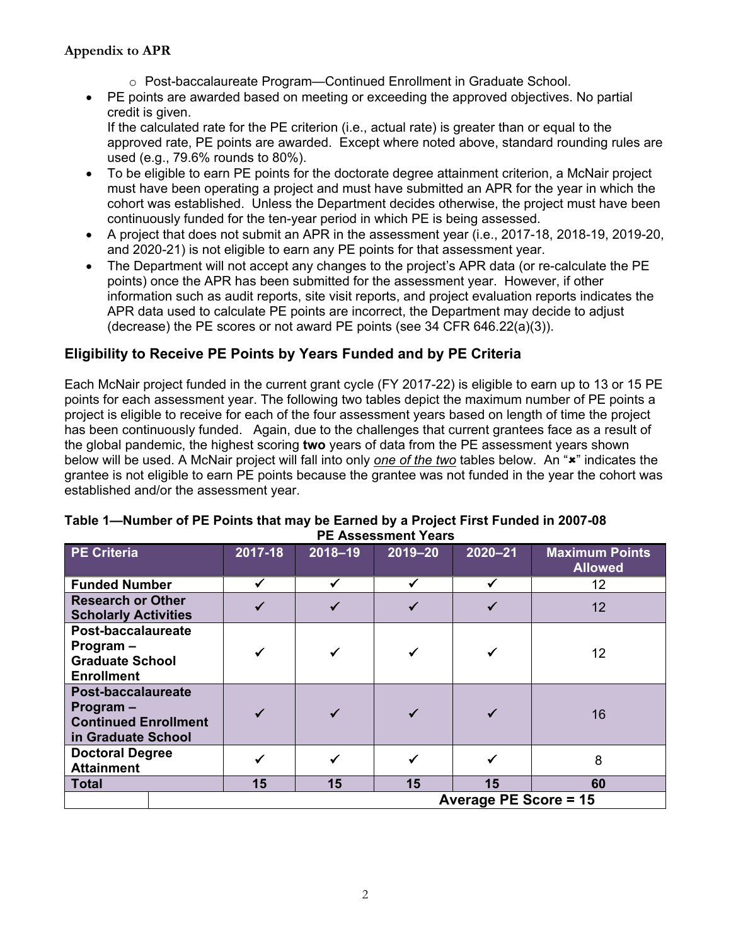### **Appendix to APR**

- o Post-baccalaureate Program—Continued Enrollment in Graduate School.
- PE points are awarded based on meeting or exceeding the approved objectives. No partial credit is given.

If the calculated rate for the PE criterion (i.e., actual rate) is greater than or equal to the approved rate, PE points are awarded. Except where noted above, standard rounding rules are used (e.g., 79.6% rounds to 80%).

- continuously funded for the ten-year period in which PE is being assessed. • To be eligible to earn PE points for the doctorate degree attainment criterion, a McNair project must have been operating a project and must have submitted an APR for the year in which the cohort was established. Unless the Department decides otherwise, the project must have been
- A project that does not submit an APR in the assessment year (i.e., 2017-18, 2018-19, 2019-20, and 2020-21) is not eligible to earn any PE points for that assessment year.
- The Department will not accept any changes to the project's APR data (or re-calculate the PE points) once the APR has been submitted for the assessment year. However, if other information such as audit reports, site visit reports, and project evaluation reports indicates the APR data used to calculate PE points are incorrect, the Department may decide to adjust (decrease) the PE scores or not award PE points (see 34 CFR 646.22(a)(3)).

## **Eligibility to Receive PE Points by Years Funded and by PE Criteria**

 Each McNair project funded in the current grant cycle (FY 2017-22) is eligible to earn up to 13 or 15 PE below will be used. A McNair project will fall into only <u>one of the two</u> tables below. An "**×**" indicates the points for each assessment year. The following two tables depict the maximum number of PE points a project is eligible to receive for each of the four assessment years based on length of time the project has been continuously funded. Again, due to the challenges that current grantees face as a result of the global pandemic, the highest scoring **two** years of data from the PE assessment years shown grantee is not eligible to earn PE points because the grantee was not funded in the year the cohort was established and/or the assessment year.

| <b>PE Criteria</b>                                                                     |  | 2017-18                      | $2018 - 19$ | $2019 - 20$ | $2020 - 21$ | <b>Maximum Points</b><br><b>Allowed</b> |  |  |
|----------------------------------------------------------------------------------------|--|------------------------------|-------------|-------------|-------------|-----------------------------------------|--|--|
| <b>Funded Number</b>                                                                   |  |                              |             |             |             | 12                                      |  |  |
| <b>Research or Other</b><br><b>Scholarly Activities</b>                                |  |                              |             |             |             | 12                                      |  |  |
| Post-baccalaureate<br>Program -<br><b>Graduate School</b><br><b>Enrollment</b>         |  |                              |             |             |             | 12                                      |  |  |
| Post-baccalaureate<br>Program $-$<br><b>Continued Enrollment</b><br>in Graduate School |  | $\checkmark$                 | ✓           |             |             | 16                                      |  |  |
| <b>Doctoral Degree</b><br><b>Attainment</b>                                            |  |                              |             |             |             | 8                                       |  |  |
| <b>Total</b>                                                                           |  | 15                           | 15          | 15          | 15          | 60                                      |  |  |
|                                                                                        |  | <b>Average PE Score = 15</b> |             |             |             |                                         |  |  |

#### **Table 1—Number of PE Points that may be Earned by a Project First Funded in 2007-08 PE Assessment Years**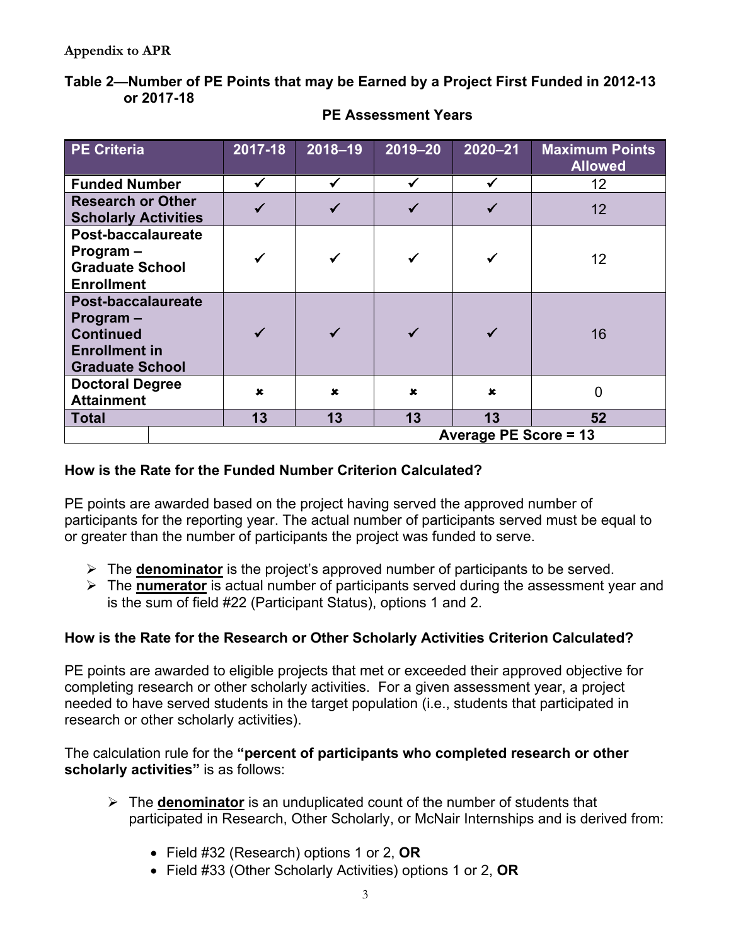## **Table 2—Number of PE Points that may be Earned by a Project First Funded in 2012-13 or 2017-18**

| <b>PE Criteria</b>                                                                                    |                              | 2017-18   | $2018 - 19$ | $2019 - 20$ | $2020 - 21$ | <b>Maximum Points</b><br><b>Allowed</b> |  |
|-------------------------------------------------------------------------------------------------------|------------------------------|-----------|-------------|-------------|-------------|-----------------------------------------|--|
| <b>Funded Number</b>                                                                                  |                              | ✓         |             |             |             | 12                                      |  |
| <b>Research or Other</b><br><b>Scholarly Activities</b>                                               |                              |           |             |             |             | 12                                      |  |
| Post-baccalaureate<br>Program-<br><b>Graduate School</b><br><b>Enrollment</b>                         |                              |           |             |             |             | 12                                      |  |
| Post-baccalaureate<br>Program -<br><b>Continued</b><br><b>Enrollment in</b><br><b>Graduate School</b> |                              |           |             |             |             | 16                                      |  |
| <b>Doctoral Degree</b><br><b>Attainment</b>                                                           |                              | $\pmb{x}$ | $\mathbf x$ | $\mathbf x$ | $\mathbf x$ | 0                                       |  |
| <b>Total</b>                                                                                          |                              | 13        | 13          | 13          | 13          | 52                                      |  |
|                                                                                                       | <b>Average PE Score = 13</b> |           |             |             |             |                                         |  |

**PE Assessment Years** 

# **How is the Rate for the Funded Number Criterion Calculated?**

PE points are awarded based on the project having served the approved number of participants for the reporting year. The actual number of participants served must be equal to or greater than the number of participants the project was funded to serve.

- The **denominator** is the project's approved number of participants to be served.
- The **numerator** is actual number of participants served during the assessment year and is the sum of field #22 (Participant Status), options 1 and 2.

# **How is the Rate for the Research or Other Scholarly Activities Criterion Calculated?**

 completing research or other scholarly activities. For a given assessment year, a project PE points are awarded to eligible projects that met or exceeded their approved objective for needed to have served students in the target population (i.e., students that participated in research or other scholarly activities).

 **scholarly activities"** is as follows: The calculation rule for the **"percent of participants who completed research or other** 

- The **denominator** is an unduplicated count of the number of students that participated in Research, Other Scholarly, or McNair Internships and is derived from:
	- Field #32 (Research) options 1 or 2, **OR**
	- Field #33 (Other Scholarly Activities) options 1 or 2, **OR**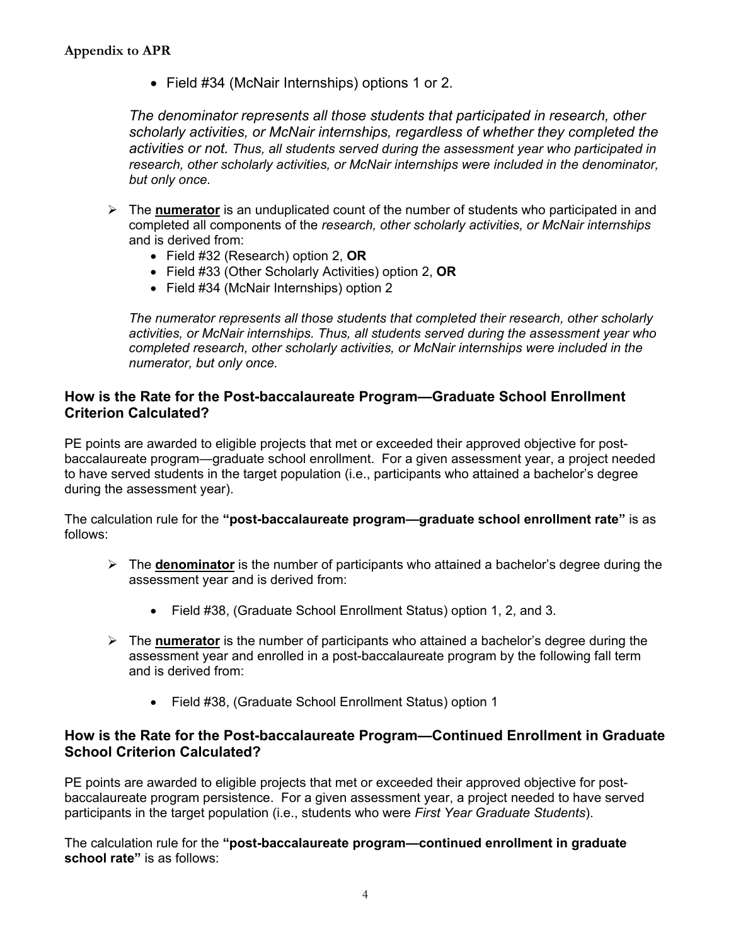• Field #34 (McNair Internships) options 1 or 2.

 *activities or not. Thus, all students served during the assessment year who participated in The denominator represents all those students that participated in research, other scholarly activities, or McNair internships, regardless of whether they completed the research, other scholarly activities, or McNair internships were included in the denominator, but only once.* 

- The **numerator** is an unduplicated count of the number of students who participated in and completed all components of the *research, other scholarly activities, or McNair internships*  and is derived from:
	- Field #32 (Research) option 2, **OR**
	- Field #33 (Other Scholarly Activities) option 2, **OR**
	- Field #34 (McNair Internships) option 2

 *completed research, other scholarly activities, or McNair internships were included in the The numerator represents all those students that completed their research, other scholarly activities, or McNair internships. Thus, all students served during the assessment year who numerator, but only once.* 

### **How is the Rate for the Post-baccalaureate Program—Graduate School Enrollment Criterion Calculated?**

PE points are awarded to eligible projects that met or exceeded their approved objective for postbaccalaureate program—graduate school enrollment. For a given assessment year, a project needed to have served students in the target population (i.e., participants who attained a bachelor's degree during the assessment year).

The calculation rule for the **"post-baccalaureate program—graduate school enrollment rate"** is as follows:

- The **denominator** is the number of participants who attained a bachelor's degree during the assessment year and is derived from:
	- Field #38, (Graduate School Enrollment Status) option 1, 2, and 3.
- The **numerator** is the number of participants who attained a bachelor's degree during the assessment year and enrolled in a post-baccalaureate program by the following fall term and is derived from:
	- Field #38, (Graduate School Enrollment Status) option 1

#### **How is the Rate for the Post-baccalaureate Program—Continued Enrollment in Graduate School Criterion Calculated?**

PE points are awarded to eligible projects that met or exceeded their approved objective for postbaccalaureate program persistence. For a given assessment year, a project needed to have served participants in the target population (i.e., students who were *First Year Graduate Students*).

The calculation rule for the **"post-baccalaureate program—continued enrollment in graduate school rate"** is as follows: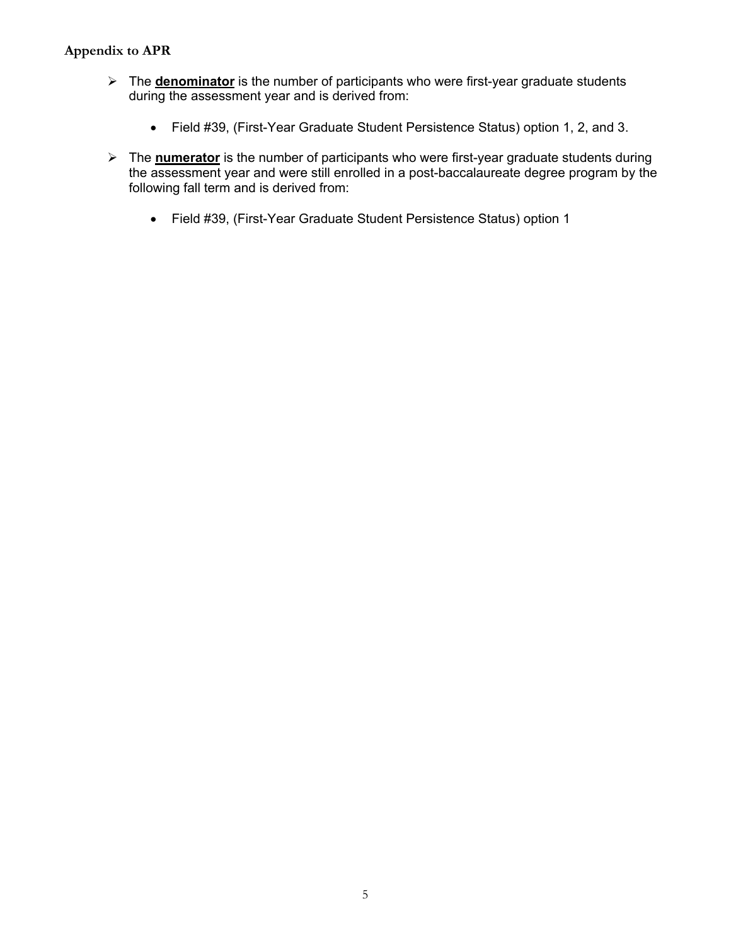#### **Appendix to APR**

- The **denominator** is the number of participants who were first-year graduate students during the assessment year and is derived from:
	- Field #39, (First-Year Graduate Student Persistence Status) option 1, 2, and 3.
- The **numerator** is the number of participants who were first-year graduate students during the assessment year and were still enrolled in a post-baccalaureate degree program by the following fall term and is derived from:
	- Field #39, (First-Year Graduate Student Persistence Status) option 1